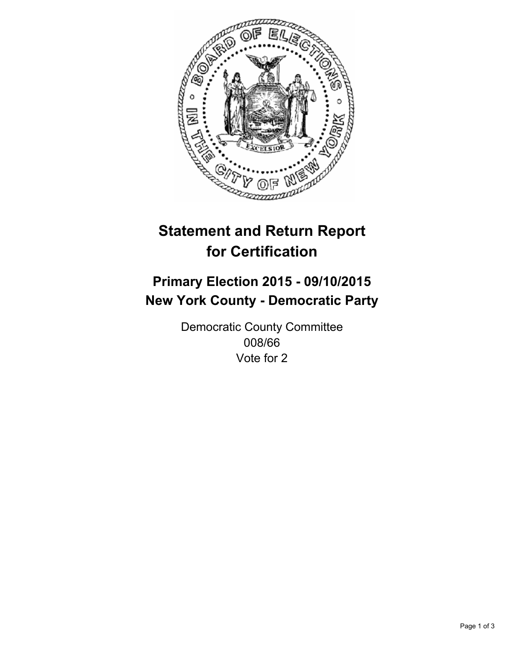

# **Statement and Return Report for Certification**

## **Primary Election 2015 - 09/10/2015 New York County - Democratic Party**

Democratic County Committee 008/66 Vote for 2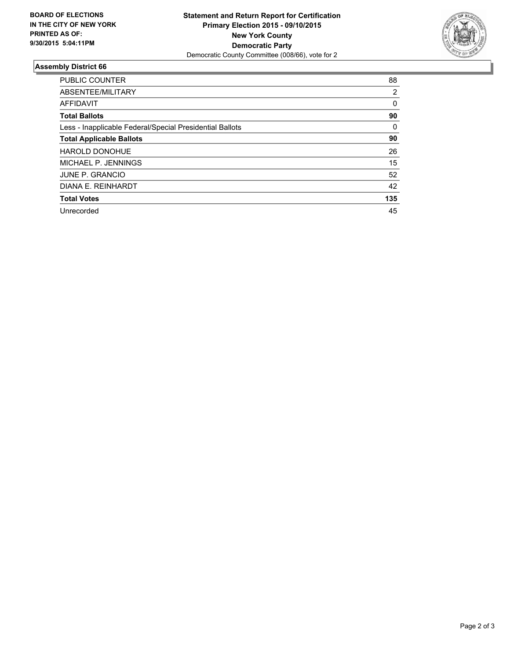

#### **Assembly District 66**

| <b>PUBLIC COUNTER</b>                                    | 88  |
|----------------------------------------------------------|-----|
| ABSENTEE/MILITARY                                        | 2   |
| <b>AFFIDAVIT</b>                                         | 0   |
| <b>Total Ballots</b>                                     | 90  |
| Less - Inapplicable Federal/Special Presidential Ballots | 0   |
| <b>Total Applicable Ballots</b>                          | 90  |
| <b>HAROLD DONOHUE</b>                                    | 26  |
| MICHAEL P. JENNINGS                                      | 15  |
| JUNE P. GRANCIO                                          | 52  |
| DIANA E. REINHARDT                                       | 42  |
| <b>Total Votes</b>                                       | 135 |
| Unrecorded                                               | 45  |